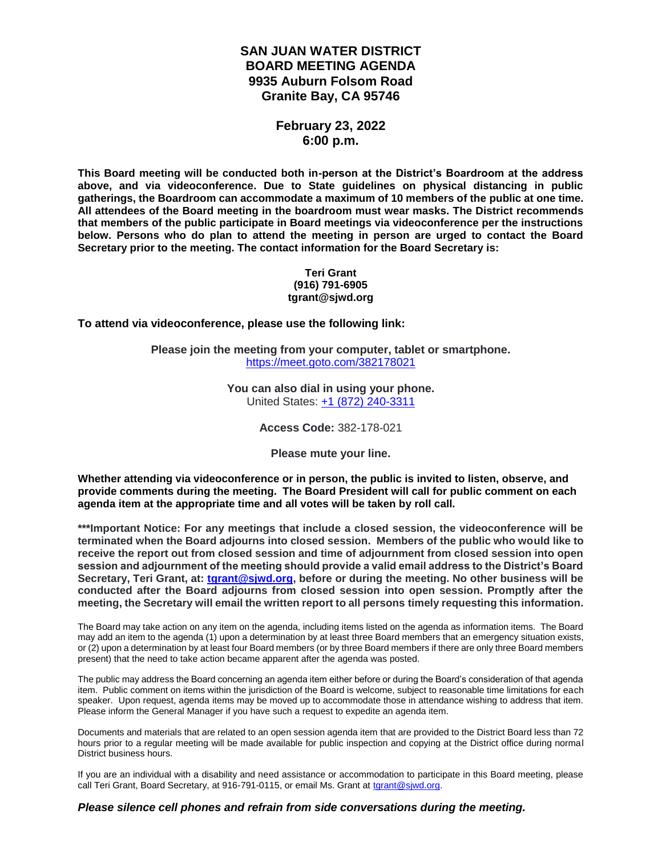## **SAN JUAN WATER DISTRICT BOARD MEETING AGENDA 9935 Auburn Folsom Road Granite Bay, CA 95746**

## **February 23, 2022 6:00 p.m.**

**This Board meeting will be conducted both in-person at the District's Boardroom at the address above, and via videoconference. Due to State guidelines on physical distancing in public gatherings, the Boardroom can accommodate a maximum of 10 members of the public at one time. All attendees of the Board meeting in the boardroom must wear masks. The District recommends that members of the public participate in Board meetings via videoconference per the instructions below. Persons who do plan to attend the meeting in person are urged to contact the Board Secretary prior to the meeting. The contact information for the Board Secretary is:**

#### **Teri Grant (916) 791-6905 tgrant@sjwd.org**

**To attend via videoconference, please use the following link:**

**Please join the meeting from your computer, tablet or smartphone.** <https://meet.goto.com/382178021>

> **You can also dial in using your phone.** United States: [+1 \(872\) 240-3311](tel:+18722403311,,382178021)

> > **Access Code:** 382-178-021

**Please mute your line.**

**Whether attending via videoconference or in person, the public is invited to listen, observe, and provide comments during the meeting. The Board President will call for public comment on each agenda item at the appropriate time and all votes will be taken by roll call.** 

**\*\*\*Important Notice: For any meetings that include a closed session, the videoconference will be terminated when the Board adjourns into closed session. Members of the public who would like to receive the report out from closed session and time of adjournment from closed session into open session and adjournment of the meeting should provide a valid email address to the District's Board Secretary, Teri Grant, at: [tgrant@sjwd.org,](mailto:tgrant@sjwd.org) before or during the meeting. No other business will be conducted after the Board adjourns from closed session into open session. Promptly after the meeting, the Secretary will email the written report to all persons timely requesting this information.**

The Board may take action on any item on the agenda, including items listed on the agenda as information items. The Board may add an item to the agenda (1) upon a determination by at least three Board members that an emergency situation exists, or (2) upon a determination by at least four Board members (or by three Board members if there are only three Board members present) that the need to take action became apparent after the agenda was posted.

The public may address the Board concerning an agenda item either before or during the Board's consideration of that agenda item. Public comment on items within the jurisdiction of the Board is welcome, subject to reasonable time limitations for each speaker. Upon request, agenda items may be moved up to accommodate those in attendance wishing to address that item. Please inform the General Manager if you have such a request to expedite an agenda item.

Documents and materials that are related to an open session agenda item that are provided to the District Board less than 72 hours prior to a regular meeting will be made available for public inspection and copying at the District office during normal District business hours.

If you are an individual with a disability and need assistance or accommodation to participate in this Board meeting, please call Teri Grant, Board Secretary, at 916-791-0115, or email Ms. Grant at [tgrant@sjwd.org.](mailto:tgrant@sjwd.org)

#### *Please silence cell phones and refrain from side conversations during the meeting.*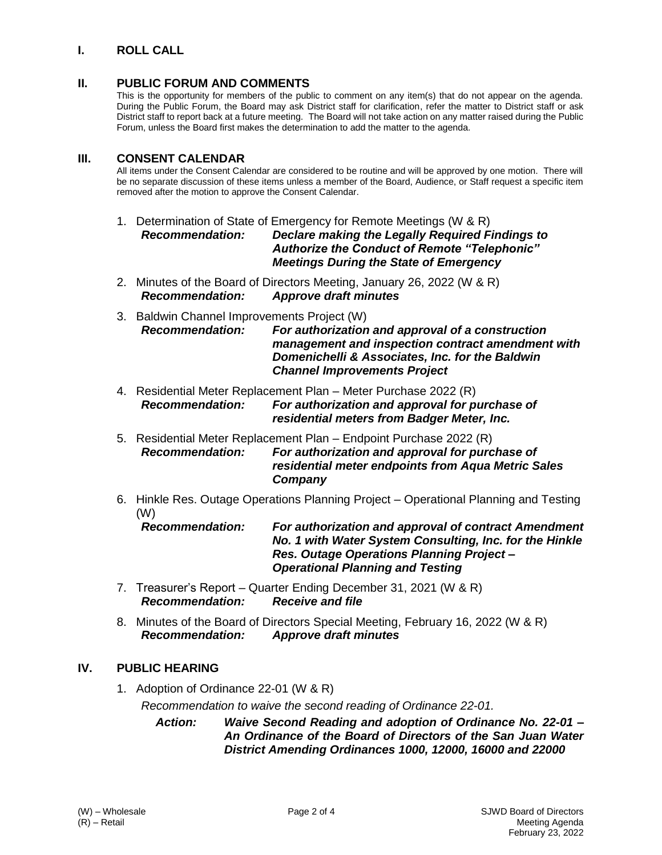# **I. ROLL CALL**

## **II. PUBLIC FORUM AND COMMENTS**

This is the opportunity for members of the public to comment on any item(s) that do not appear on the agenda. During the Public Forum, the Board may ask District staff for clarification, refer the matter to District staff or ask District staff to report back at a future meeting. The Board will not take action on any matter raised during the Public Forum, unless the Board first makes the determination to add the matter to the agenda.

### **III. CONSENT CALENDAR**

All items under the Consent Calendar are considered to be routine and will be approved by one motion. There will be no separate discussion of these items unless a member of the Board, Audience, or Staff request a specific item removed after the motion to approve the Consent Calendar.

- 1. Determination of State of Emergency for Remote Meetings (W & R) *Recommendation: Declare making the Legally Required Findings to Authorize the Conduct of Remote "Telephonic" Meetings During the State of Emergency*
- 2. Minutes of the Board of Directors Meeting, January 26, 2022 (W & R) *Recommendation: Approve draft minutes*
- 3. Baldwin Channel Improvements Project (W) *Recommendation: For authorization and approval of a construction management and inspection contract amendment with Domenichelli & Associates, Inc. for the Baldwin Channel Improvements Project*
- 4. Residential Meter Replacement Plan Meter Purchase 2022 (R) *Recommendation: For authorization and approval for purchase of residential meters from Badger Meter, Inc.*
- 5. Residential Meter Replacement Plan Endpoint Purchase 2022 (R) *Recommendation: For authorization and approval for purchase of residential meter endpoints from Aqua Metric Sales Company*
- 6. Hinkle Res. Outage Operations Planning Project Operational Planning and Testing (W)

*Recommendation: For authorization and approval of contract Amendment No. 1 with Water System Consulting, Inc. for the Hinkle Res. Outage Operations Planning Project – Operational Planning and Testing*

- 7. Treasurer's Report Quarter Ending December 31, 2021 (W & R) *Recommendation: Receive and file*
- 8. Minutes of the Board of Directors Special Meeting, February 16, 2022 (W & R) *Recommendation: Approve draft minutes*

## **IV. PUBLIC HEARING**

1. Adoption of Ordinance 22-01 (W & R) *Recommendation to waive the second reading of Ordinance 22-01.*

> *Action: Waive Second Reading and adoption of Ordinance No. 22-01 – An Ordinance of the Board of Directors of the San Juan Water District Amending Ordinances 1000, 12000, 16000 and 22000*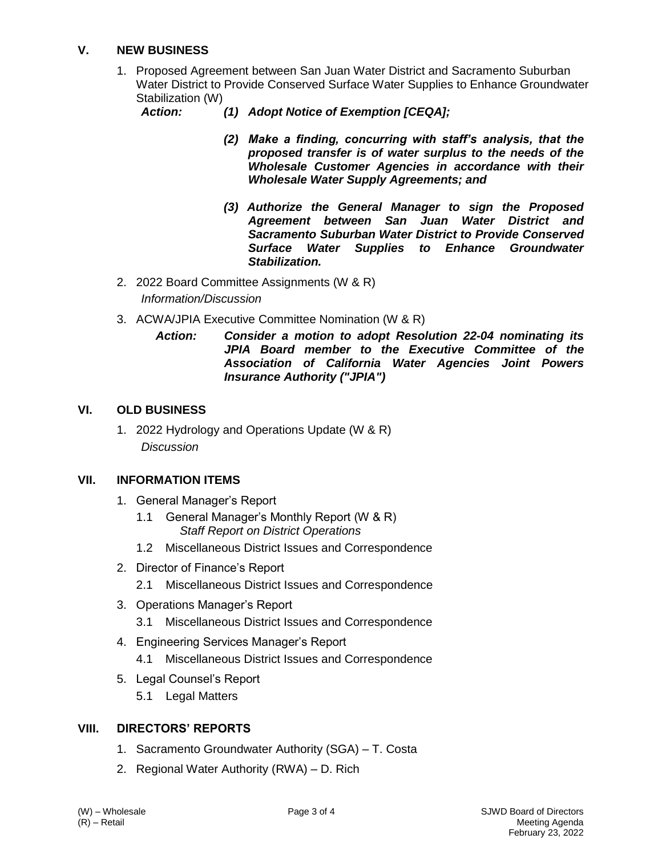# **V. NEW BUSINESS**

1. Proposed Agreement between San Juan Water District and Sacramento Suburban Water District to Provide Conserved Surface Water Supplies to Enhance Groundwater Stabilization (W)

- *Action: (1) Adopt Notice of Exemption [CEQA];*
	- *(2) Make a finding, concurring with staff's analysis, that the proposed transfer is of water surplus to the needs of the Wholesale Customer Agencies in accordance with their Wholesale Water Supply Agreements; and*
	- *(3) Authorize the General Manager to sign the Proposed Agreement between San Juan Water District and Sacramento Suburban Water District to Provide Conserved Surface Water Supplies to Enhance Groundwater Stabilization.*
- 2. 2022 Board Committee Assignments (W & R) *Information/Discussion*
- 3. ACWA/JPIA Executive Committee Nomination (W & R)
	- *Action: Consider a motion to adopt Resolution 22-04 nominating its JPIA Board member to the Executive Committee of the Association of California Water Agencies Joint Powers Insurance Authority ("JPIA")*

### **VI. OLD BUSINESS**

1. 2022 Hydrology and Operations Update (W & R) *Discussion*

### **VII. INFORMATION ITEMS**

- 1. General Manager's Report
	- 1.1 General Manager's Monthly Report (W & R) *Staff Report on District Operations*
	- 1.2 Miscellaneous District Issues and Correspondence
- 2. Director of Finance's Report 2.1 Miscellaneous District Issues and Correspondence
- 3. Operations Manager's Report 3.1 Miscellaneous District Issues and Correspondence
- 4. Engineering Services Manager's Report 4.1 Miscellaneous District Issues and Correspondence
- 5. Legal Counsel's Report
	- 5.1 Legal Matters

## **VIII. DIRECTORS' REPORTS**

- 1. Sacramento Groundwater Authority (SGA) T. Costa
- 2. Regional Water Authority (RWA) D. Rich